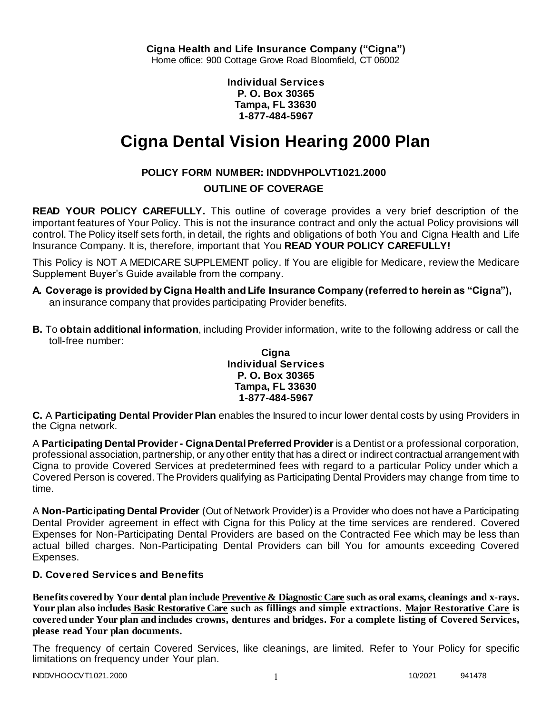**Individual Services P. O. Box 30365 Tampa, FL 33630 1-877-484-5967**

# **Cigna Dental Vision Hearing 2000 Plan**

# **POLICY FORM NUMBER: INDDVHPOLVT1021.2000**

# **OUTLINE OF COVERAGE**

**READ YOUR POLICY CAREFULLY.** This outline of coverage provides a very brief description of the important features of Your Policy. This is not the insurance contract and only the actual Policy provisions will control. The Policy itself sets forth, in detail, the rights and obligations of both You and Cigna Health and Life Insurance Company. It is, therefore, important that You **READ YOUR POLICY CAREFULLY!** 

This Policy is NOT A MEDICARE SUPPLEMENT policy. If You are eligible for Medicare, review the Medicare Supplement Buyer's Guide available from the company.

- **A. Coverage is provided by Cigna Health and Life Insurance Company (referred to herein as "Cigna"),**  an insurance company that provides participating Provider benefits.
- **B.** To **obtain additional information**, including Provider information, write to the following address or call the toll-free number:

### **Cigna Individual Services P. O. Box 30365 Tampa, FL 33630 1-877-484-5967**

**C.** A **Participating Dental Provider Plan** enables the Insured to incur lower dental costs by using Providers in the Cigna network.

A **Participating Dental Provider - Cigna Dental Preferred Provider** is a Dentist or a professional corporation, professional association, partnership, or any other entity that has a direct or indirect contractual arrangement with Cigna to provide Covered Services at predetermined fees with regard to a particular Policy under which a Covered Person is covered. The Providers qualifying as Participating Dental Providers may change from time to time.

A **Non-Participating Dental Provider** (Out of Network Provider) is a Provider who does not have a Participating Dental Provider agreement in effect with Cigna for this Policy at the time services are rendered. Covered Expenses for Non-Participating Dental Providers are based on the Contracted Fee which may be less than actual billed charges. Non-Participating Dental Providers can bill You for amounts exceeding Covered Expenses.

# **D. Covered Services and Benefits**

**Benefits covered by Your dental plan include Preventive & Diagnostic Care such as oral exams, cleanings and x-rays. Your plan also includes Basic Restorative Care such as fillings and simple extractions. Major Restorative Care is covered under Your plan and includes crowns, dentures and bridges. For a complete listing of Covered Services, please read Your plan documents.** 

The frequency of certain Covered Services, like cleanings, are limited. Refer to Your Policy for specific limitations on frequency under Your plan.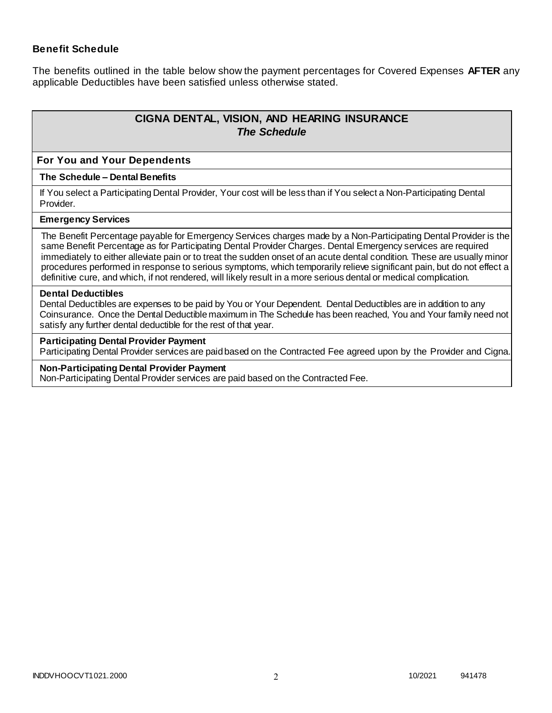### **Benefit Schedule**

The benefits outlined in the table below show the payment percentages for Covered Expenses **AFTER** any applicable Deductibles have been satisfied unless otherwise stated.

# **CIGNA DENTAL, VISION, AND HEARING INSURANCE** *The Schedule*

### **For You and Your Dependents**

#### **The Schedule – Dental Benefits**

If You select a Participating Dental Provider, Your cost will be less than if You select a Non-Participating Dental Provider.

### **Emergency Services**

The Benefit Percentage payable for Emergency Services charges made by a Non-Participating Dental Provider is the same Benefit Percentage as for Participating Dental Provider Charges. Dental Emergency services are required immediately to either alleviate pain or to treat the sudden onset of an acute dental condition. These are usually minor procedures performed in response to serious symptoms, which temporarily relieve significant pain, but do not effect a definitive cure, and which, if not rendered, will likely result in a more serious dental or medical complication.

#### **Dental Deductibles**

Dental Deductibles are expenses to be paid by You or Your Dependent. Dental Deductibles are in addition to any Coinsurance. Once the Dental Deductible maximum in The Schedule has been reached, You and Your family need not satisfy any further dental deductible for the rest of that year.

#### **Participating Dental Provider Payment**

Participating Dental Provider services are paid based on the Contracted Fee agreed upon by the Provider and Cigna.

#### **Non-Participating Dental Provider Payment**

Non-Participating Dental Provider services are paid based on the Contracted Fee.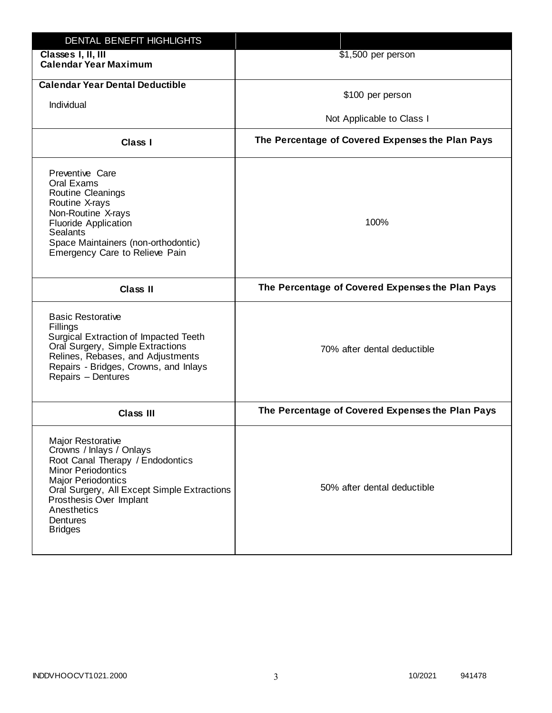| DENTAL BENEFIT HIGHLIGHTS                                                                                                                                                                                                                                          |                                                  |
|--------------------------------------------------------------------------------------------------------------------------------------------------------------------------------------------------------------------------------------------------------------------|--------------------------------------------------|
| Classes I, II, III<br><b>Calendar Year Maximum</b>                                                                                                                                                                                                                 | \$1,500 per person                               |
| <b>Calendar Year Dental Deductible</b><br>Individual                                                                                                                                                                                                               | \$100 per person<br>Not Applicable to Class I    |
| Class I                                                                                                                                                                                                                                                            | The Percentage of Covered Expenses the Plan Pays |
| Preventive Care<br>Oral Exams<br>Routine Cleanings<br>Routine X-rays<br>Non-Routine X-rays<br><b>Fluoride Application</b><br><b>Sealants</b><br>Space Maintainers (non-orthodontic)<br>Emergency Care to Relieve Pain                                              | 100%                                             |
| <b>Class II</b>                                                                                                                                                                                                                                                    | The Percentage of Covered Expenses the Plan Pays |
| <b>Basic Restorative</b><br>Fillings<br>Surgical Extraction of Impacted Teeth<br>Oral Surgery, Simple Extractions<br>Relines, Rebases, and Adjustments<br>Repairs - Bridges, Crowns, and Inlays<br>Repairs - Dentures                                              | 70% after dental deductible                      |
| <b>Class III</b>                                                                                                                                                                                                                                                   | The Percentage of Covered Expenses the Plan Pays |
| Major Restorative<br>Crowns / Inlays / Onlays<br>Root Canal Therapy / Endodontics<br><b>Minor Periodontics</b><br><b>Major Periodontics</b><br>Oral Surgery, All Except Simple Extractions<br>Prosthesis Over Implant<br>Anesthetics<br>Dentures<br><b>Bridges</b> | 50% after dental deductible                      |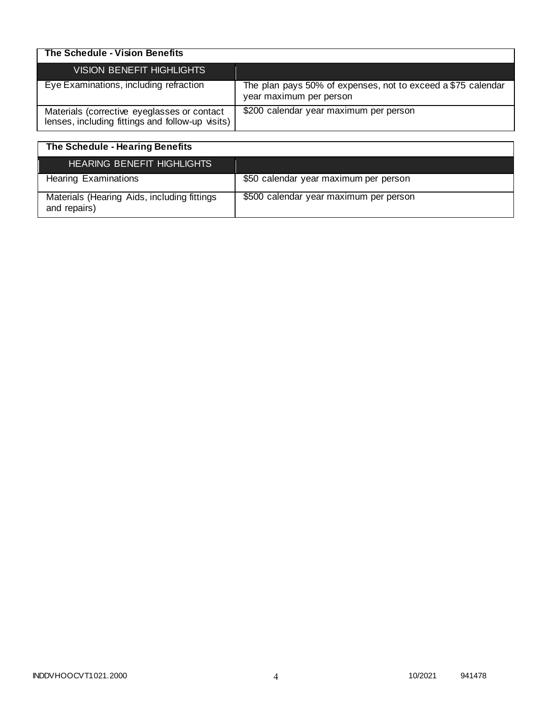| The Schedule - Vision Benefits                                                                  |                                                                                         |
|-------------------------------------------------------------------------------------------------|-----------------------------------------------------------------------------------------|
| VISION BENEFIT HIGHLIGHTS                                                                       |                                                                                         |
| Eye Examinations, including refraction                                                          | The plan pays 50% of expenses, not to exceed a \$75 calendar<br>year maximum per person |
| Materials (corrective eyeglasses or contact<br>lenses, including fittings and follow-up visits) | \$200 calendar year maximum per person                                                  |

| The Schedule - Hearing Benefits                             |                                        |
|-------------------------------------------------------------|----------------------------------------|
| HEARING BENEFIT HIGHLIGHTS                                  |                                        |
| <b>Hearing Examinations</b>                                 | \$50 calendar year maximum per person  |
| Materials (Hearing Aids, including fittings<br>and repairs) | \$500 calendar year maximum per person |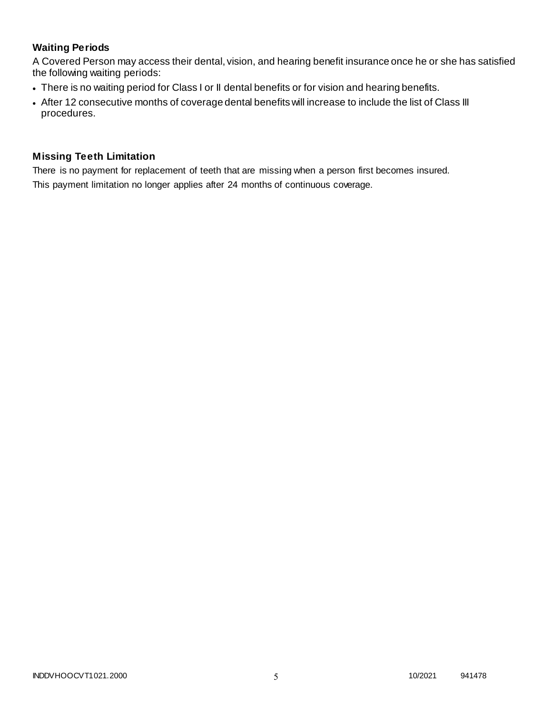# **Waiting Periods**

A Covered Person may access their dental, vision, and hearing benefit insurance once he or she has satisfied the following waiting periods:

- There is no waiting period for Class I or II dental benefits or for vision and hearing benefits.
- After 12 consecutive months of coverage dental benefits will increase to include the list of Class III procedures.

### **Missing Teeth Limitation**

There is no payment for replacement of teeth that are missing when a person first becomes insured. This payment limitation no longer applies after 24 months of continuous coverage.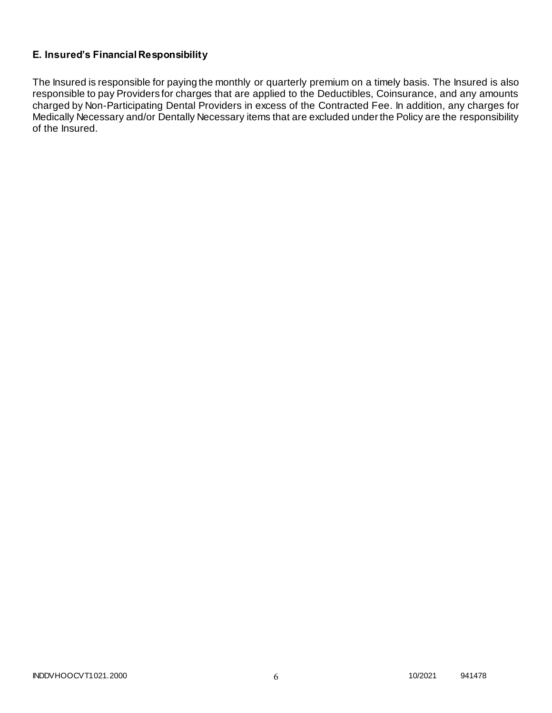# **E. Insured's Financial Responsibility**

The Insured is responsible for paying the monthly or quarterly premium on a timely basis. The Insured is also responsible to pay Providers for charges that are applied to the Deductibles, Coinsurance, and any amounts charged by Non-Participating Dental Providers in excess of the Contracted Fee. In addition, any charges for Medically Necessary and/or Dentally Necessary items that are excluded under the Policy are the responsibility of the Insured.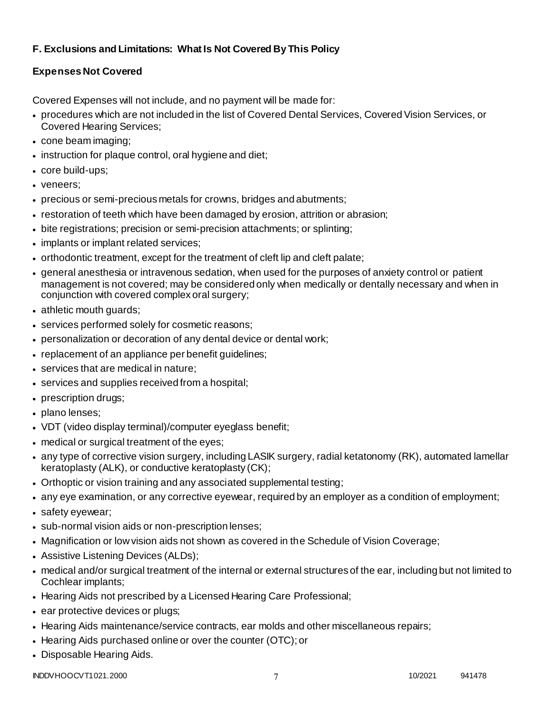# **F. Exclusions and Limitations: What Is Not Covered By This Policy**

# **Expenses Not Covered**

Covered Expenses will not include, and no payment will be made for:

- procedures which are not included in the list of Covered Dental Services, Covered Vision Services, or Covered Hearing Services;
- cone beam imaging;
- instruction for plaque control, oral hygiene and diet;
- core build-ups;
- veneers;
- precious or semi-precious metals for crowns, bridges and abutments;
- restoration of teeth which have been damaged by erosion, attrition or abrasion;
- bite registrations; precision or semi-precision attachments; or splinting;
- implants or implant related services;
- orthodontic treatment, except for the treatment of cleft lip and cleft palate;
- general anesthesia or intravenous sedation, when used for the purposes of anxiety control or patient management is not covered; may be considered only when medically or dentally necessary and when in conjunction with covered complex oral surgery;
- athletic mouth guards;
- services performed solely for cosmetic reasons;
- personalization or decoration of any dental device or dental work;
- replacement of an appliance per benefit guidelines;
- services that are medical in nature:
- services and supplies received from a hospital;
- prescription drugs;
- plano lenses:
- VDT (video display terminal)/computer eyeglass benefit;
- medical or surgical treatment of the eyes;
- any type of corrective vision surgery, including LASIK surgery, radial ketatonomy (RK), automated lamellar keratoplasty (ALK), or conductive keratoplasty (CK);
- Orthoptic or vision training and any associated supplemental testing;
- any eye examination, or any corrective eyewear, required by an employer as a condition of employment;
- safety eyewear;
- sub-normal vision aids or non-prescription lenses;
- Magnification or low vision aids not shown as covered in the Schedule of Vision Coverage;
- Assistive Listening Devices (ALDs);
- medical and/or surgical treatment of the internal or external structures of the ear, including but not limited to Cochlear implants;
- Hearing Aids not prescribed by a Licensed Hearing Care Professional;
- ear protective devices or plugs;
- Hearing Aids maintenance/service contracts, ear molds and other miscellaneous repairs;
- Hearing Aids purchased online or over the counter (OTC); or
- Disposable Hearing Aids.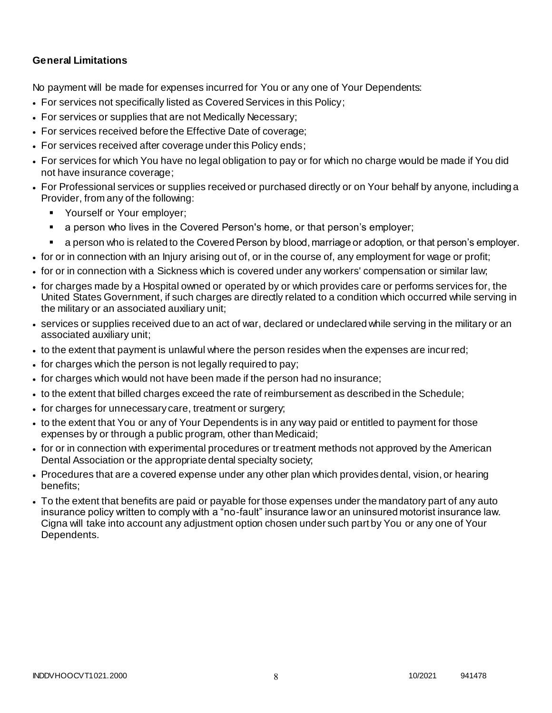# **General Limitations**

No payment will be made for expenses incurred for You or any one of Your Dependents:

- For services not specifically listed as Covered Services in this Policy;
- For services or supplies that are not Medically Necessary;
- For services received before the Effective Date of coverage;
- For services received after coverage under this Policy ends;
- For services for which You have no legal obligation to pay or for which no charge would be made if You did not have insurance coverage;
- For Professional services or supplies received or purchased directly or on Your behalf by anyone, including a Provider, from any of the following:
	- **Yourself or Your employer;**
	- a person who lives in the Covered Person's home, or that person's employer;
	- a person who is related to the Covered Person by blood, marriage or adoption, or that person's employer.
- for or in connection with an Injury arising out of, or in the course of, any employment for wage or profit;
- for or in connection with a Sickness which is covered under any workers' compensation or similar law;
- for charges made by a Hospital owned or operated by or which provides care or performs services for, the United States Government, if such charges are directly related to a condition which occurred while serving in the military or an associated auxiliary unit;
- services or supplies received due to an act of war, declared or undeclared while serving in the military or an associated auxiliary unit;
- to the extent that payment is unlawful where the person resides when the expenses are incurred;
- for charges which the person is not legally required to pay;
- for charges which would not have been made if the person had no insurance;
- to the extent that billed charges exceed the rate of reimbursement as described in the Schedule;
- for charges for unnecessary care, treatment or surgery;
- to the extent that You or any of Your Dependents is in any way paid or entitled to payment for those expenses by or through a public program, other than Medicaid;
- for or in connection with experimental procedures or treatment methods not approved by the American Dental Association or the appropriate dental specialty society;
- Procedures that are a covered expense under any other plan which provides dental, vision, or hearing benefits;
- To the extent that benefits are paid or payable for those expenses under the mandatory part of any auto insurance policy written to comply with a "no-fault" insurance law or an uninsured motorist insurance law. Cigna will take into account any adjustment option chosen under such part by You or any one of Your Dependents.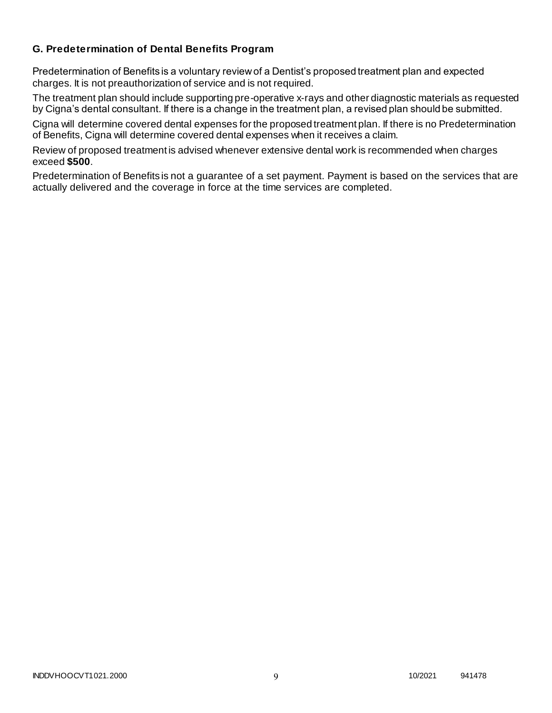# **G. Predetermination of Dental Benefits Program**

Predetermination of Benefits is a voluntary review of a Dentist's proposed treatment plan and expected charges. It is not preauthorization of service and is not required.

The treatment plan should include supporting pre-operative x-rays and other diagnostic materials as requested by Cigna's dental consultant. If there is a change in the treatment plan, a revised plan should be submitted.

Cigna will determine covered dental expenses for the proposed treatment plan. If there is no Predetermination of Benefits, Cigna will determine covered dental expenses when it receives a claim.

Review of proposed treatment is advised whenever extensive dental work is recommended when charges exceed **\$500**.

Predetermination of Benefits is not a guarantee of a set payment. Payment is based on the services that are actually delivered and the coverage in force at the time services are completed.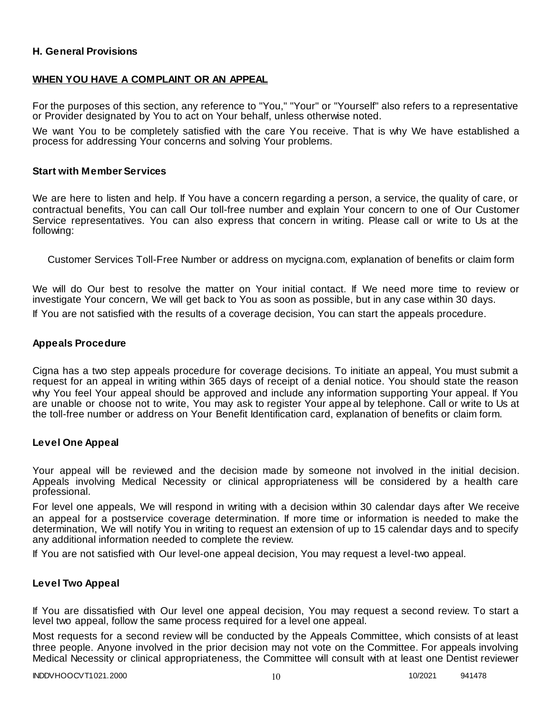### **H. General Provisions**

### **WHEN YOU HAVE A COMPLAINT OR AN APPEAL**

For the purposes of this section, any reference to "You," "Your" or "Yourself" also refers to a representative or Provider designated by You to act on Your behalf, unless otherwise noted.

We want You to be completely satisfied with the care You receive. That is why We have established a process for addressing Your concerns and solving Your problems.

### **Start with Member Services**

We are here to listen and help. If You have a concern regarding a person, a service, the quality of care, or contractual benefits, You can call Our toll-free number and explain Your concern to one of Our Customer Service representatives. You can also express that concern in writing. Please call or write to Us at the following:

Customer Services Toll-Free Number or address on mycigna.com, explanation of benefits or claim form

We will do Our best to resolve the matter on Your initial contact. If We need more time to review or investigate Your concern, We will get back to You as soon as possible, but in any case within 30 days.

If You are not satisfied with the results of a coverage decision, You can start the appeals procedure.

### **Appeals Procedure**

Cigna has a two step appeals procedure for coverage decisions. To initiate an appeal, You must submit a request for an appeal in writing within 365 days of receipt of a denial notice. You should state the reason why You feel Your appeal should be approved and include any information supporting Your appeal. If You are unable or choose not to write, You may ask to register Your appeal by telephone. Call or write to Us at the toll-free number or address on Your Benefit Identification card, explanation of benefits or claim form.

### **Level One Appeal**

Your appeal will be reviewed and the decision made by someone not involved in the initial decision. Appeals involving Medical Necessity or clinical appropriateness will be considered by a health care professional.

For level one appeals, We will respond in writing with a decision within 30 calendar days after We receive an appeal for a postservice coverage determination. If more time or information is needed to make the determination, We will notify You in writing to request an extension of up to 15 calendar days and to specify any additional information needed to complete the review.

If You are not satisfied with Our level-one appeal decision, You may request a level-two appeal.

### **Level Two Appeal**

If You are dissatisfied with Our level one appeal decision, You may request a second review. To start a level two appeal, follow the same process required for a level one appeal.

Most requests for a second review will be conducted by the Appeals Committee, which consists of at least three people. Anyone involved in the prior decision may not vote on the Committee. For appeals involving Medical Necessity or clinical appropriateness, the Committee will consult with at least one Dentist reviewer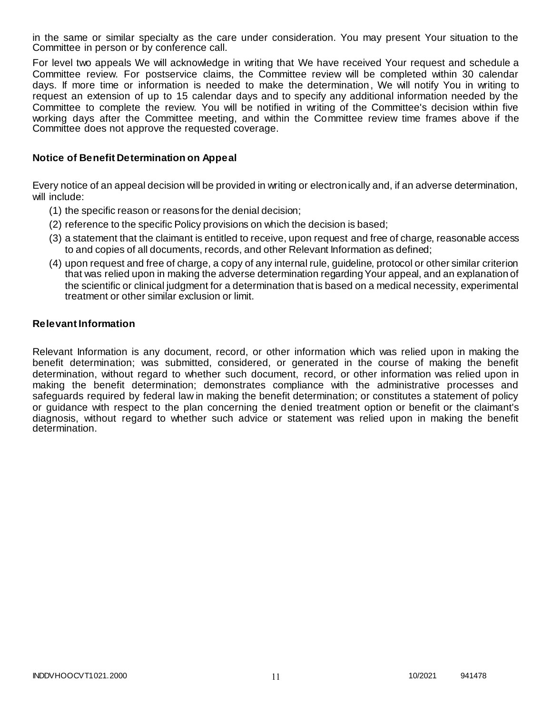in the same or similar specialty as the care under consideration. You may present Your situation to the Committee in person or by conference call.

For level two appeals We will acknowledge in writing that We have received Your request and schedule a Committee review. For postservice claims, the Committee review will be completed within 30 calendar days. If more time or information is needed to make the determination, We will notify You in writing to request an extension of up to 15 calendar days and to specify any additional information needed by the Committee to complete the review. You will be notified in writing of the Committee's decision within five working days after the Committee meeting, and within the Committee review time frames above if the Committee does not approve the requested coverage.

### **Notice of Benefit Determination on Appeal**

Every notice of an appeal decision will be provided in writing or electronically and, if an adverse determination, will include:

- (1) the specific reason or reasons for the denial decision;
- (2) reference to the specific Policy provisions on which the decision is based;
- (3) a statement that the claimant is entitled to receive, upon request and free of charge, reasonable access to and copies of all documents, records, and other Relevant Information as defined;
- (4) upon request and free of charge, a copy of any internal rule, guideline, protocol or other similar criterion that was relied upon in making the adverse determination regarding Your appeal, and an explanation of the scientific or clinical judgment for a determination that is based on a medical necessity, experimental treatment or other similar exclusion or limit.

### **Relevant Information**

Relevant Information is any document, record, or other information which was relied upon in making the benefit determination; was submitted, considered, or generated in the course of making the benefit determination, without regard to whether such document, record, or other information was relied upon in making the benefit determination; demonstrates compliance with the administrative processes and safeguards required by federal law in making the benefit determination; or constitutes a statement of policy or guidance with respect to the plan concerning the denied treatment option or benefit or the claimant's diagnosis, without regard to whether such advice or statement was relied upon in making the benefit determination.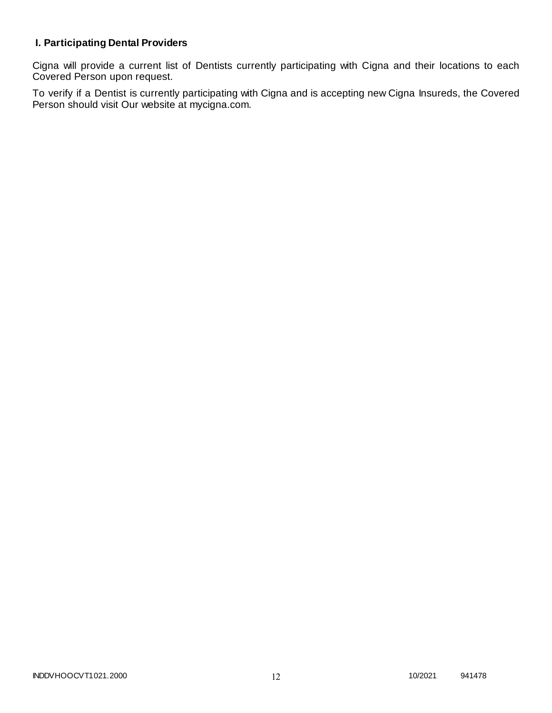# **I. Participating Dental Providers**

Cigna will provide a current list of Dentists currently participating with Cigna and their locations to each Covered Person upon request.

To verify if a Dentist is currently participating with Cigna and is accepting new Cigna Insureds, the Covered Person should visit Our website at mycigna.com.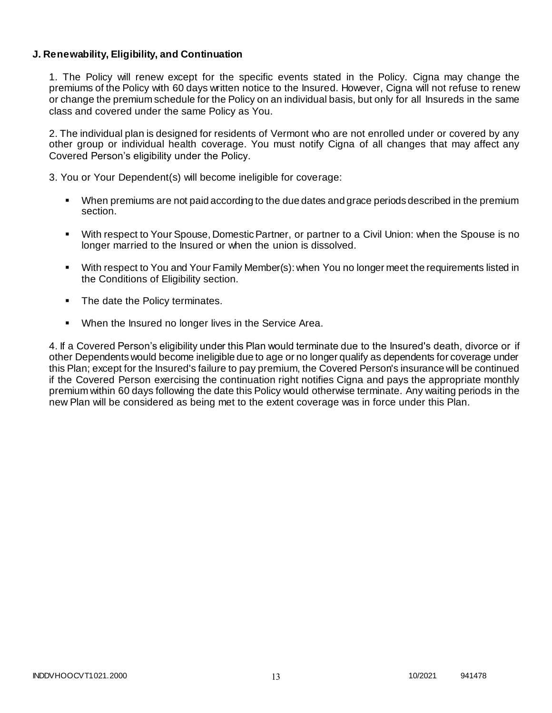### **J. Renewability, Eligibility, and Continuation**

1. The Policy will renew except for the specific events stated in the Policy. Cigna may change the premiums of the Policy with 60 days written notice to the Insured. However, Cigna will not refuse to renew or change the premium schedule for the Policy on an individual basis, but only for all Insureds in the same class and covered under the same Policy as You.

2. The individual plan is designed for residents of Vermont who are not enrolled under or covered by any other group or individual health coverage. You must notify Cigna of all changes that may affect any Covered Person's eligibility under the Policy.

3. You or Your Dependent(s) will become ineligible for coverage:

- When premiums are not paid according to the due dates and grace periods described in the premium section.
- With respect to Your Spouse, Domestic Partner, or partner to a Civil Union: when the Spouse is no longer married to the Insured or when the union is dissolved.
- With respect to You and Your Family Member(s): when You no longer meet the requirements listed in the Conditions of Eligibility section.
- The date the Policy terminates.
- When the Insured no longer lives in the Service Area.

4. If a Covered Person's eligibility under this Plan would terminate due to the Insured's death, divorce or if other Dependents would become ineligible due to age or no longer qualify as dependents for coverage under this Plan; except for the Insured's failure to pay premium, the Covered Person's insurance will be continued if the Covered Person exercising the continuation right notifies Cigna and pays the appropriate monthly premium within 60 days following the date this Policy would otherwise terminate. Any waiting periods in the new Plan will be considered as being met to the extent coverage was in force under this Plan.